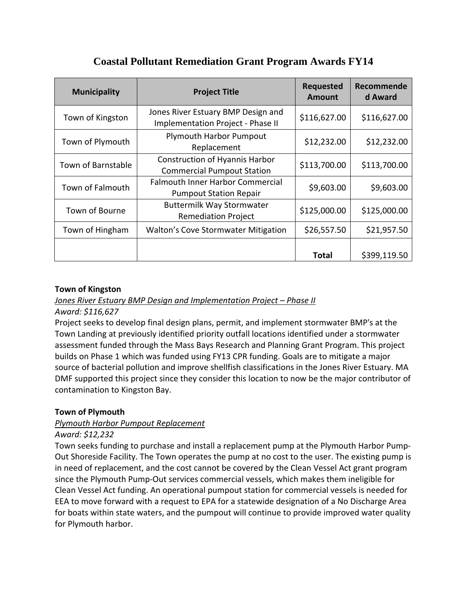| <b>Municipality</b> | <b>Project Title</b>                                                       | <b>Requested</b><br><b>Amount</b> | Recommende<br>d Award |
|---------------------|----------------------------------------------------------------------------|-----------------------------------|-----------------------|
| Town of Kingston    | Jones River Estuary BMP Design and<br>Implementation Project - Phase II    | \$116,627.00                      | \$116,627.00          |
| Town of Plymouth    | <b>Plymouth Harbor Pumpout</b><br>Replacement                              | \$12,232.00                       | \$12,232.00           |
| Town of Barnstable  | <b>Construction of Hyannis Harbor</b><br><b>Commercial Pumpout Station</b> | \$113,700.00                      | \$113,700.00          |
| Town of Falmouth    | <b>Falmouth Inner Harbor Commercial</b><br><b>Pumpout Station Repair</b>   | \$9,603.00                        | \$9,603.00            |
| Town of Bourne      | <b>Buttermilk Way Stormwater</b><br><b>Remediation Project</b>             | \$125,000.00                      | \$125,000.00          |
| Town of Hingham     | <b>Walton's Cove Stormwater Mitigation</b>                                 | \$26,557.50                       | \$21,957.50           |
|                     |                                                                            | Total                             | \$399,119.50          |

# **Coastal Pollutant Remediation Grant Program Awards FY14**

# **Town of Kingston**

*Jones River Estuary BMP Design and Implementation Project – Phase II*

# *Award: \$116,627*

Project seeks to develop final design plans, permit, and implement stormwater BMP's at the Town Landing at previously identified priority outfall locations identified under a stormwater assessment funded through the Mass Bays Research and Planning Grant Program. This project builds on Phase 1 which was funded using FY13 CPR funding. Goals are to mitigate a major source of bacterial pollution and improve shellfish classifications in the Jones River Estuary. MA DMF supported this project since they consider this location to now be the major contributor of contamination to Kingston Bay.

# **Town of Plymouth**

# *Plymouth Harbor Pumpout Replacement*

# *Award: \$12,232*

Town seeks funding to purchase and install a replacement pump at the Plymouth Harbor Pump‐ Out Shoreside Facility. The Town operates the pump at no cost to the user. The existing pump is in need of replacement, and the cost cannot be covered by the Clean Vessel Act grant program since the Plymouth Pump-Out services commercial vessels, which makes them ineligible for Clean Vessel Act funding. An operational pumpout station for commercial vessels is needed for EEA to move forward with a request to EPA for a statewide designation of a No Discharge Area for boats within state waters, and the pumpout will continue to provide improved water quality for Plymouth harbor.